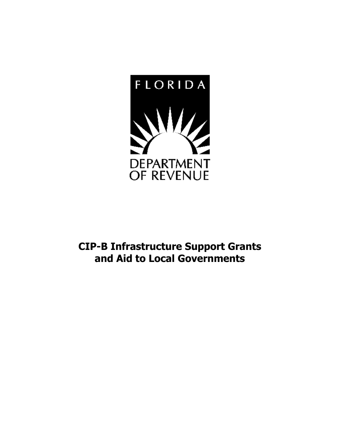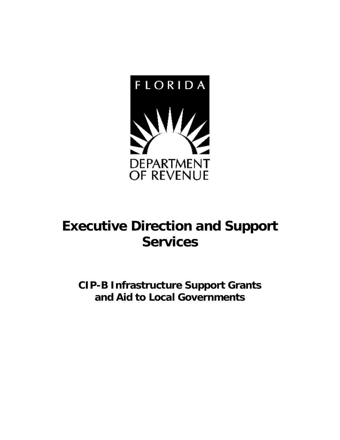

### **Executive Direction and Support Services**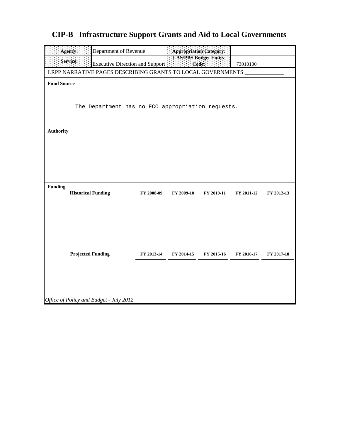| Agency:<br>Department of Revenue                                                                                                                |                                                   |            | Appropriation Category:           |            |            |            |  |  |
|-------------------------------------------------------------------------------------------------------------------------------------------------|---------------------------------------------------|------------|-----------------------------------|------------|------------|------------|--|--|
|                                                                                                                                                 | Service:                                          |            | LAS/PBS Budget Entity:<br>: Code: |            | 73010100   |            |  |  |
| Executive Direction and Support $\begin{bmatrix} \vdots \\ \vdots \end{bmatrix}$<br>LRPP NARRATIVE PAGES DESCRIBING GRANTS TO LOCAL GOVERNMENTS |                                                   |            |                                   |            |            |            |  |  |
|                                                                                                                                                 | <b>Fund Source</b>                                |            |                                   |            |            |            |  |  |
|                                                                                                                                                 |                                                   |            |                                   |            |            |            |  |  |
|                                                                                                                                                 | The Department has no FCO appropriation requests. |            |                                   |            |            |            |  |  |
|                                                                                                                                                 |                                                   |            |                                   |            |            |            |  |  |
|                                                                                                                                                 |                                                   |            |                                   |            |            |            |  |  |
| <b>Authority</b>                                                                                                                                |                                                   |            |                                   |            |            |            |  |  |
|                                                                                                                                                 |                                                   |            |                                   |            |            |            |  |  |
|                                                                                                                                                 |                                                   |            |                                   |            |            |            |  |  |
|                                                                                                                                                 |                                                   |            |                                   |            |            |            |  |  |
|                                                                                                                                                 |                                                   |            |                                   |            |            |            |  |  |
| <b>Funding</b>                                                                                                                                  | <b>Historical Funding</b>                         | FY 2008-09 | FY 2009-10                        | FY 2010-11 | FY 2011-12 | FY 2012-13 |  |  |
|                                                                                                                                                 |                                                   |            |                                   |            |            |            |  |  |
|                                                                                                                                                 |                                                   |            |                                   |            |            |            |  |  |
|                                                                                                                                                 |                                                   |            |                                   |            |            |            |  |  |
|                                                                                                                                                 |                                                   |            |                                   |            |            |            |  |  |
|                                                                                                                                                 |                                                   |            |                                   |            |            |            |  |  |
|                                                                                                                                                 | <b>Projected Funding</b>                          | FY 2013-14 | FY 2014-15                        | FY 2015-16 | FY 2016-17 | FY 2017-18 |  |  |
|                                                                                                                                                 |                                                   |            |                                   |            |            |            |  |  |
|                                                                                                                                                 |                                                   |            |                                   |            |            |            |  |  |
|                                                                                                                                                 |                                                   |            |                                   |            |            |            |  |  |
|                                                                                                                                                 | Office of Policy and Budget - July 2012           |            |                                   |            |            |            |  |  |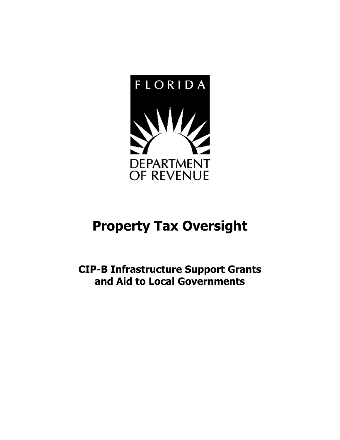

### **Property Tax Oversight**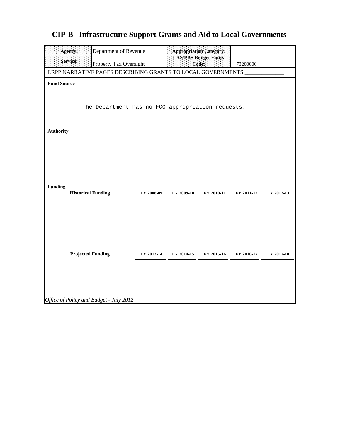| Department of Revenue<br>Agency:                            |            | Appropriation Category: |                                             |            |            |  |  |
|-------------------------------------------------------------|------------|-------------------------|---------------------------------------------|------------|------------|--|--|
| Service:<br>Property Tax Oversight                          |            |                         | LAS/PBS Budget Entity:<br>$: \text{Code}$ : | 73200000   |            |  |  |
| LRPP NARRATIVE PAGES DESCRIBING GRANTS TO LOCAL GOVERNMENTS |            |                         |                                             |            |            |  |  |
| <b>Fund Source</b>                                          |            |                         |                                             |            |            |  |  |
|                                                             |            |                         |                                             |            |            |  |  |
| The Department has no FCO appropriation requests.           |            |                         |                                             |            |            |  |  |
|                                                             |            |                         |                                             |            |            |  |  |
|                                                             |            |                         |                                             |            |            |  |  |
| <b>Authority</b>                                            |            |                         |                                             |            |            |  |  |
|                                                             |            |                         |                                             |            |            |  |  |
|                                                             |            |                         |                                             |            |            |  |  |
|                                                             |            |                         |                                             |            |            |  |  |
|                                                             |            |                         |                                             |            |            |  |  |
| <b>Funding</b><br><b>Historical Funding</b>                 | FY 2008-09 | FY 2009-10              | FY 2010-11                                  | FY 2011-12 | FY 2012-13 |  |  |
|                                                             |            |                         |                                             |            |            |  |  |
|                                                             |            |                         |                                             |            |            |  |  |
|                                                             |            |                         |                                             |            |            |  |  |
|                                                             |            |                         |                                             |            |            |  |  |
|                                                             |            |                         |                                             |            |            |  |  |
| <b>Projected Funding</b>                                    | FY 2013-14 | FY 2014-15              | FY 2015-16                                  | FY 2016-17 | FY 2017-18 |  |  |
|                                                             |            |                         |                                             |            |            |  |  |
|                                                             |            |                         |                                             |            |            |  |  |
|                                                             |            |                         |                                             |            |            |  |  |
| Office of Policy and Budget - July 2012                     |            |                         |                                             |            |            |  |  |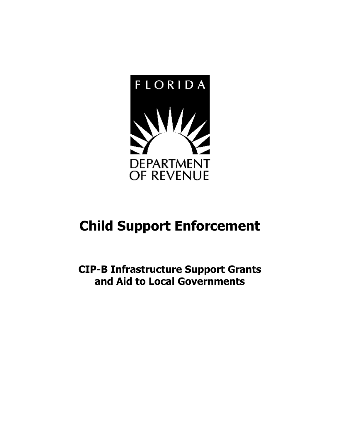

# **Child Support Enforcement**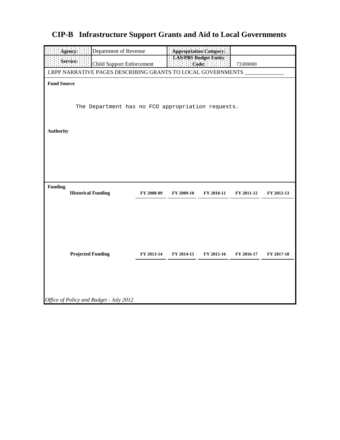| Agency:<br>Department of Revenue                            | Appropriation Category: |            |                        |            |            |  |
|-------------------------------------------------------------|-------------------------|------------|------------------------|------------|------------|--|
| Service:                                                    |                         |            | LAS/PBS Budget Entity. |            |            |  |
| <b>Child Support Enforcement</b>                            |                         | : Code:    |                        | 73300000   |            |  |
| LRPP NARRATIVE PAGES DESCRIBING GRANTS TO LOCAL GOVERNMENTS |                         |            |                        |            |            |  |
| <b>Fund Source</b>                                          |                         |            |                        |            |            |  |
|                                                             |                         |            |                        |            |            |  |
|                                                             |                         |            |                        |            |            |  |
| The Department has no FCO appropriation requests.           |                         |            |                        |            |            |  |
|                                                             |                         |            |                        |            |            |  |
| <b>Authority</b>                                            |                         |            |                        |            |            |  |
|                                                             |                         |            |                        |            |            |  |
|                                                             |                         |            |                        |            |            |  |
|                                                             |                         |            |                        |            |            |  |
|                                                             |                         |            |                        |            |            |  |
|                                                             |                         |            |                        |            |            |  |
|                                                             |                         |            |                        |            |            |  |
| <b>Funding</b><br><b>Historical Funding</b>                 | FY 2008-09              | FY 2009-10 | FY 2010-11             | FY 2011-12 | FY 2012-13 |  |
|                                                             |                         |            |                        |            |            |  |
|                                                             |                         |            |                        |            |            |  |
|                                                             |                         |            |                        |            |            |  |
|                                                             |                         |            |                        |            |            |  |
|                                                             |                         |            |                        |            |            |  |
|                                                             |                         |            |                        |            |            |  |
| <b>Projected Funding</b>                                    | FY 2013-14              | FY 2014-15 | FY 2015-16             | FY 2016-17 | FY 2017-18 |  |
|                                                             |                         |            |                        |            |            |  |
|                                                             |                         |            |                        |            |            |  |
|                                                             |                         |            |                        |            |            |  |
|                                                             |                         |            |                        |            |            |  |
|                                                             |                         |            |                        |            |            |  |
| Office of Policy and Budget - July 2012                     |                         |            |                        |            |            |  |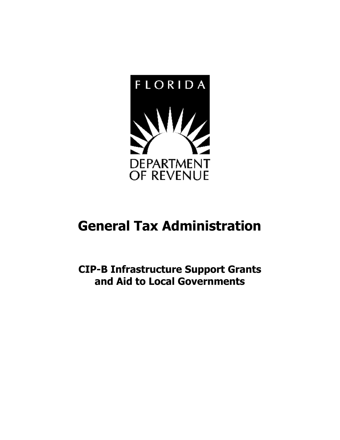

### **General Tax Administration**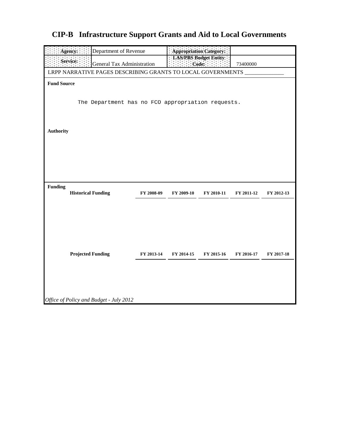| Agency:<br>Department of Revenue                                     |            |            | Appropriation Category: |            |            |  |  |
|----------------------------------------------------------------------|------------|------------|-------------------------|------------|------------|--|--|
| Service:<br>General Tax Administration                               |            |            | LAS/PBS Budget Entity:  | 73400000   |            |  |  |
| Code:<br>LRPP NARRATIVE PAGES DESCRIBING GRANTS TO LOCAL GOVERNMENTS |            |            |                         |            |            |  |  |
| <b>Fund Source</b>                                                   |            |            |                         |            |            |  |  |
|                                                                      |            |            |                         |            |            |  |  |
| The Department has no FCO appropriation requests.                    |            |            |                         |            |            |  |  |
|                                                                      |            |            |                         |            |            |  |  |
|                                                                      |            |            |                         |            |            |  |  |
| <b>Authority</b>                                                     |            |            |                         |            |            |  |  |
|                                                                      |            |            |                         |            |            |  |  |
|                                                                      |            |            |                         |            |            |  |  |
|                                                                      |            |            |                         |            |            |  |  |
|                                                                      |            |            |                         |            |            |  |  |
|                                                                      |            |            |                         |            |            |  |  |
| <b>Funding</b><br><b>Historical Funding</b>                          | FY 2008-09 | FY 2009-10 | FY 2010-11              | FY 2011-12 | FY 2012-13 |  |  |
|                                                                      |            |            |                         |            |            |  |  |
|                                                                      |            |            |                         |            |            |  |  |
|                                                                      |            |            |                         |            |            |  |  |
|                                                                      |            |            |                         |            |            |  |  |
|                                                                      |            |            |                         |            |            |  |  |
| <b>Projected Funding</b>                                             | FY 2013-14 | FY 2014-15 | FY 2015-16              | FY 2016-17 | FY 2017-18 |  |  |
|                                                                      |            |            |                         |            |            |  |  |
|                                                                      |            |            |                         |            |            |  |  |
|                                                                      |            |            |                         |            |            |  |  |
|                                                                      |            |            |                         |            |            |  |  |
| Office of Policy and Budget - July 2012                              |            |            |                         |            |            |  |  |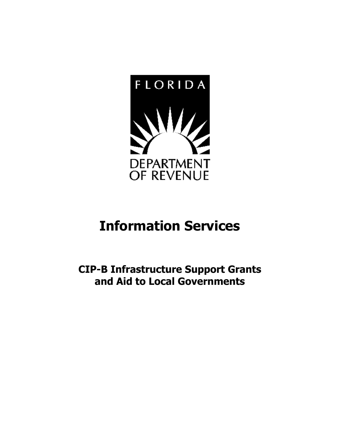

## **Information Services**